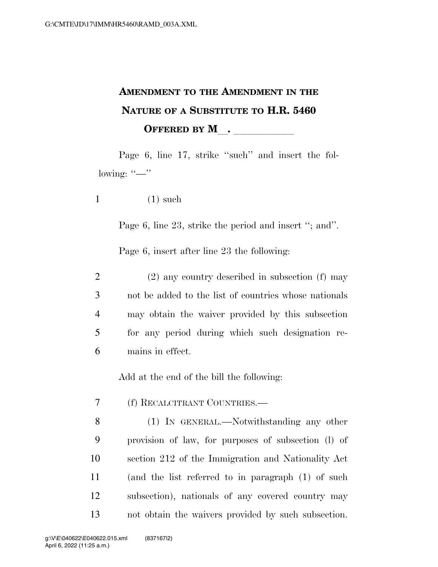## **AMENDMENT TO THE AMENDMENT IN THE NATURE OF A SUBSTITUTE TO H.R. 5460 OFFERED BY M\_\_\_\_\_\_\_\_\_\_\_\_**

Page 6, line 17, strike "such" and insert the following:  $"$ —"

 $1$  (1) such

Page 6, line 23, strike the period and insert "; and".

Page 6, insert after line 23 the following:

 (2) any country described in subsection (f) may not be added to the list of countries whose nationals may obtain the waiver provided by this subsection for any period during which such designation re-mains in effect.

Add at the end of the bill the following:

- 7 (f) RECALCITRANT COUNTRIES.—
- 8 (1) IN GENERAL.—Notwithstanding any other 9 provision of law, for purposes of subsection (l) of 10 section 212 of the Immigration and Nationality Act 11 (and the list referred to in paragraph (1) of such 12 subsection), nationals of any covered country may 13 not obtain the waivers provided by such subsection.